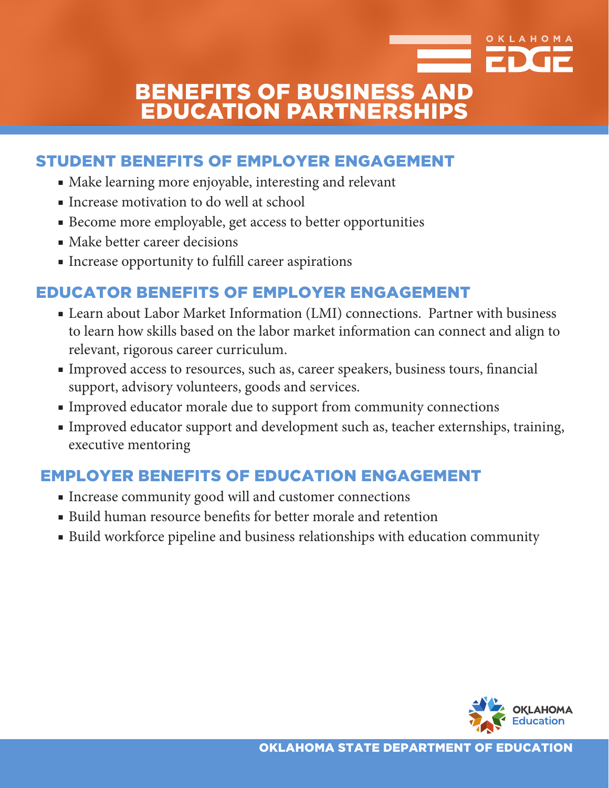# BENEFITS OF BUSINESS AND EDUCATION PARTNERSHIPS

## STUDENT BENEFITS OF EMPLOYER ENGAGEMENT

- Make learning more enjoyable, interesting and relevant
- Increase motivation to do well at school
- Become more employable, get access to better opportunities
- Make better career decisions
- Increase opportunity to fulfill career aspirations

## EDUCATOR BENEFITS OF EMPLOYER ENGAGEMENT

- Learn about Labor Market Information (LMI) connections. Partner with business to learn how skills based on the labor market information can connect and align to relevant, rigorous career curriculum.
- Improved access to resources, such as, career speakers, business tours, financial support, advisory volunteers, goods and services.
- Improved educator morale due to support from community connections
- Improved educator support and development such as, teacher externships, training, executive mentoring

### EMPLOYER BENEFITS OF EDUCATION ENGAGEMENT

- Increase community good will and customer connections
- Build human resource benefits for better morale and retention
- Build workforce pipeline and business relationships with education community